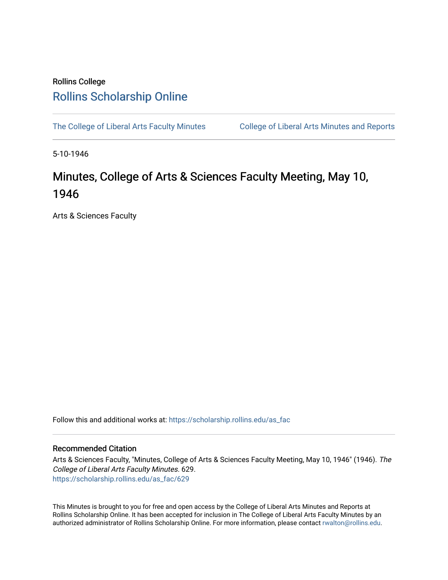## Rollins College [Rollins Scholarship Online](https://scholarship.rollins.edu/)

[The College of Liberal Arts Faculty Minutes](https://scholarship.rollins.edu/as_fac) College of Liberal Arts Minutes and Reports

5-10-1946

## Minutes, College of Arts & Sciences Faculty Meeting, May 10, 1946

Arts & Sciences Faculty

Follow this and additional works at: [https://scholarship.rollins.edu/as\\_fac](https://scholarship.rollins.edu/as_fac?utm_source=scholarship.rollins.edu%2Fas_fac%2F629&utm_medium=PDF&utm_campaign=PDFCoverPages) 

## Recommended Citation

Arts & Sciences Faculty, "Minutes, College of Arts & Sciences Faculty Meeting, May 10, 1946" (1946). The College of Liberal Arts Faculty Minutes. 629. [https://scholarship.rollins.edu/as\\_fac/629](https://scholarship.rollins.edu/as_fac/629?utm_source=scholarship.rollins.edu%2Fas_fac%2F629&utm_medium=PDF&utm_campaign=PDFCoverPages) 

This Minutes is brought to you for free and open access by the College of Liberal Arts Minutes and Reports at Rollins Scholarship Online. It has been accepted for inclusion in The College of Liberal Arts Faculty Minutes by an authorized administrator of Rollins Scholarship Online. For more information, please contact [rwalton@rollins.edu](mailto:rwalton@rollins.edu).